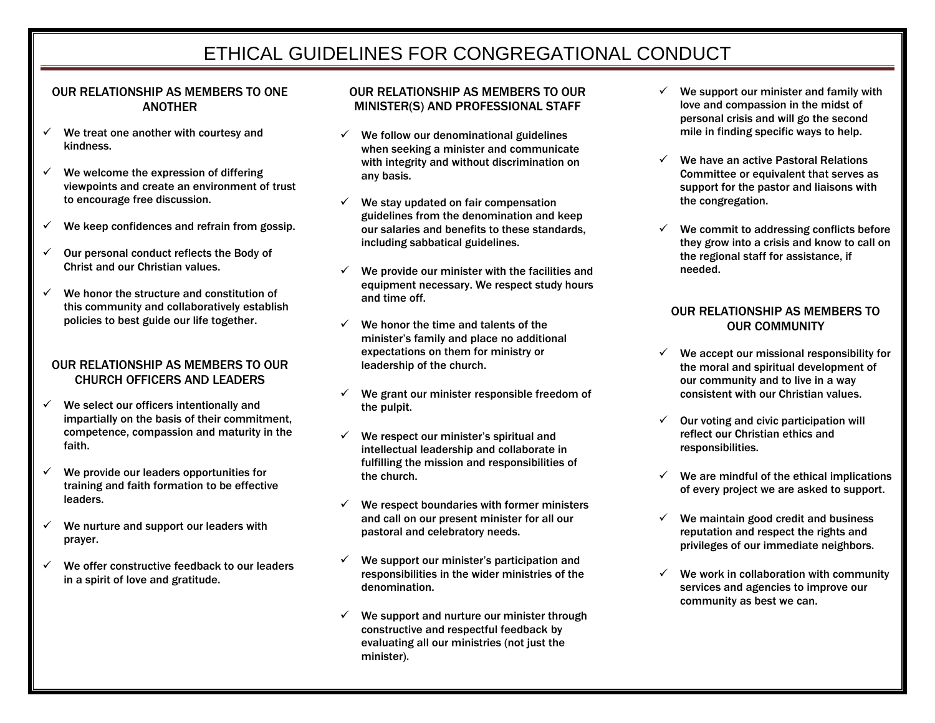# ETHICAL GUIDELINES FOR CONGREGATIONAL CONDUCT

#### OUR RELATIONSHIP AS MEMBERS TO ONE **ANOTHER**

- $\checkmark$  We treat one another with courtesy and kindness.
- $\checkmark$  We welcome the expression of differing viewpoints and create an environment of trust to encourage free discussion.
- $\checkmark$  We keep confidences and refrain from gossip.
- $\checkmark$  Our personal conduct reflects the Body of Christ and our Christian values.
- We honor the structure and constitution of this community and collaboratively establish policies to best guide our life together.

#### OUR RELATIONSHIP AS MEMBERS TO OUR CHURCH OFFICERS AND LEADERS

- $\checkmark$  We select our officers intentionally and impartially on the basis of their commitment, competence, compassion and maturity in the faith.
- $\checkmark$  We provide our leaders opportunities for training and faith formation to be effective leaders.
- $\checkmark$  We nurture and support our leaders with prayer.
- $\checkmark$  We offer constructive feedback to our leaders in a spirit of love and gratitude.

## OUR RELATIONSHIP AS MEMBERS TO OUR MINISTER(S) AND PROFESSIONAL STAFF

- $\checkmark$  We follow our denominational guidelines when seeking a minister and communicate with integrity and without discrimination on any basis.
- $\checkmark$  We stay updated on fair compensation guidelines from the denomination and keep our salaries and benefits to these standards, including sabbatical guidelines.
- $\checkmark$  We provide our minister with the facilities and equipment necessary. We respect study hours and time off.
- $\checkmark$  We honor the time and talents of the minister's family and place no additional expectations on them for ministry or leadership of the church.
- $\checkmark$  We grant our minister responsible freedom of the pulpit.
- $\checkmark$  We respect our minister's spiritual and intellectual leadership and collaborate in fulfilling the mission and responsibilities of the church.
- $\checkmark$  We respect boundaries with former ministers and call on our present minister for all our pastoral and celebratory needs.
- $\checkmark$  We support our minister's participation and responsibilities in the wider ministries of the denomination.
- $\checkmark$  We support and nurture our minister through constructive and respectful feedback by evaluating all our ministries (not just the minister).
- We support our minister and family with love and compassion in the midst of personal crisis and will go the second mile in finding specific ways to help.
- $\checkmark$  We have an active Pastoral Relations Committee or equivalent that serves as support for the pastor and liaisons with the congregation.
- $\checkmark$  We commit to addressing conflicts before they grow into a crisis and know to call on the regional staff for assistance, if needed.

## OUR RELATIONSHIP AS MEMBERS TO OUR COMMUNITY

- $\checkmark$  We accept our missional responsibility for the moral and spiritual development of our community and to live in a way consistent with our Christian values.
- $\checkmark$  Our voting and civic participation will reflect our Christian ethics and responsibilities.
- $\checkmark$  We are mindful of the ethical implications of every project we are asked to support.
- $\checkmark$  We maintain good credit and business reputation and respect the rights and privileges of our immediate neighbors.
- $\checkmark$  We work in collaboration with community services and agencies to improve our community as best we can.